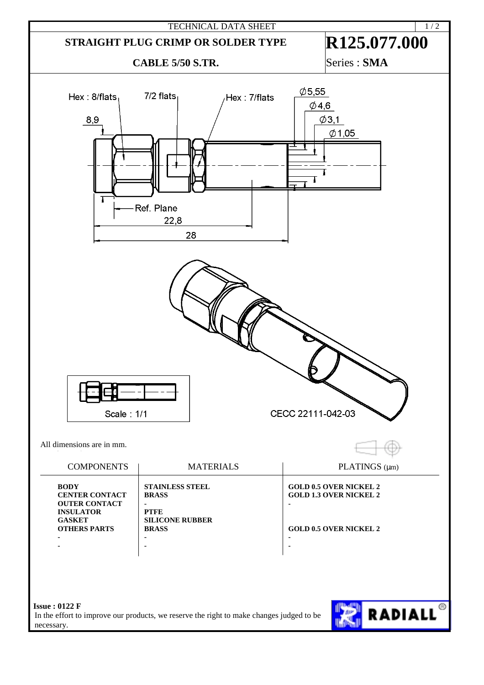

In the effort to improve our products, we reserve the right to make changes judged to be necessary.